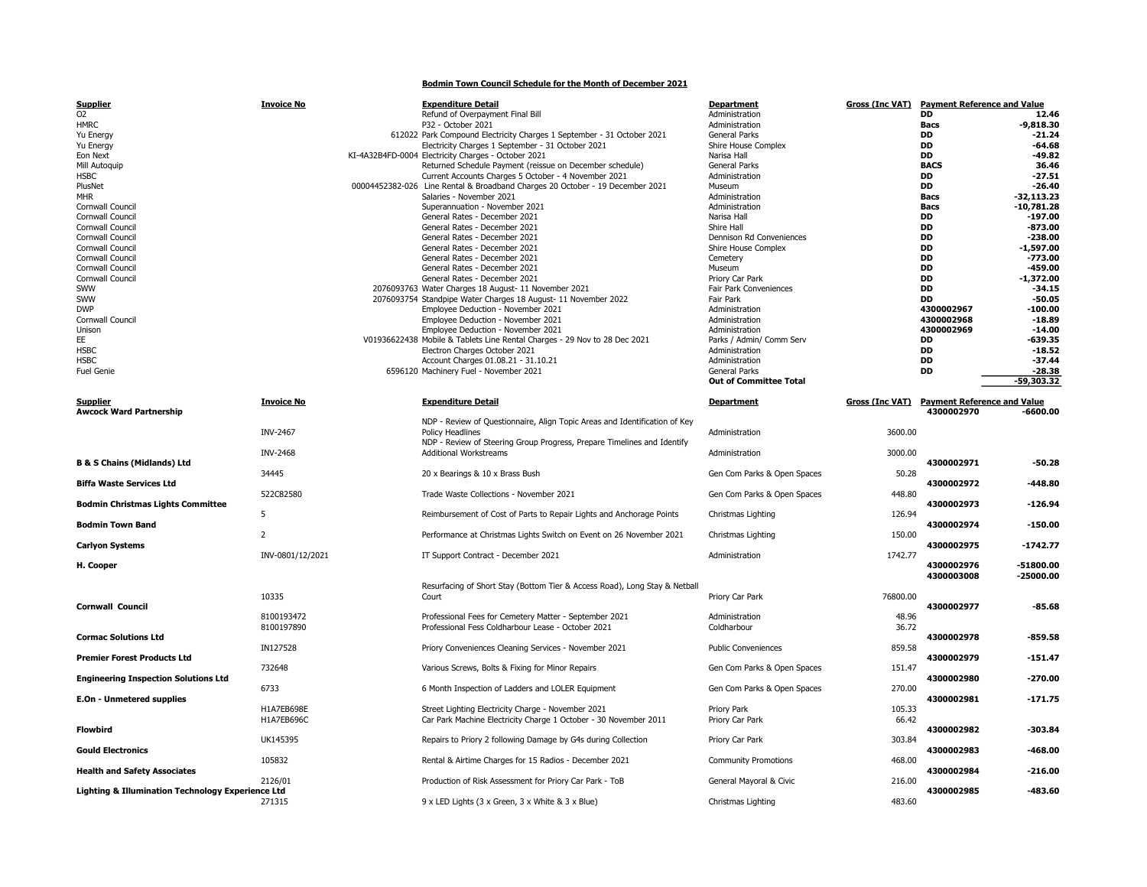Bodmin Town Council Schedule for the Month of December 2021

| <b>Supplier</b>                          | <b>Invoice No</b> | <b>Expenditure Detail</b>                                                     | <b>Department</b>             | <b>Gross (Inc VAT)</b> | <b>Payment Reference and Value</b> |              |
|------------------------------------------|-------------------|-------------------------------------------------------------------------------|-------------------------------|------------------------|------------------------------------|--------------|
| 02                                       |                   | Refund of Overpayment Final Bill                                              | Administration                |                        | <b>DD</b>                          | 12.46        |
| <b>HMRC</b>                              |                   | P32 - October 2021                                                            | Administration                |                        | <b>Bacs</b>                        | $-9.818.30$  |
| Yu Energy                                |                   | 612022 Park Compound Electricity Charges 1 September - 31 October 2021        | <b>General Parks</b>          |                        | <b>DD</b>                          | $-21.24$     |
| Yu Energy                                |                   | Electricity Charges 1 September - 31 October 2021                             | Shire House Complex           |                        | <b>DD</b>                          | $-64.68$     |
| Eon Next                                 |                   | KI-4A32B4FD-0004 Electricity Charges - October 2021                           | Narisa Hall                   |                        | <b>DD</b>                          | $-49.82$     |
| Mill Autoquip                            |                   | Returned Schedule Payment (reissue on December schedule)                      | <b>General Parks</b>          |                        | <b>BACS</b>                        | 36.46        |
| <b>HSBC</b>                              |                   | Current Accounts Charges 5 October - 4 November 2021                          | Administration                |                        | <b>DD</b>                          | $-27.51$     |
| PlusNet                                  |                   | 00004452382-026 Line Rental & Broadband Charges 20 October - 19 December 2021 | Museum                        |                        | <b>DD</b>                          | $-26.40$     |
| <b>MHR</b>                               |                   | Salaries - November 2021                                                      | Administration                |                        | Bacs                               | $-32,113.23$ |
| Cornwall Council                         |                   | Superannuation - November 2021                                                | Administration                |                        | Bacs                               | $-10.781.28$ |
| Cornwall Council                         |                   | General Rates - December 2021                                                 | Narisa Hall                   |                        | <b>DD</b>                          | $-197.00$    |
| Cornwall Council                         |                   | General Rates - December 2021                                                 | Shire Hall                    |                        | DD                                 | $-873.00$    |
| Cornwall Council                         |                   | General Rates - December 2021                                                 | Dennison Rd Conveniences      |                        | <b>DD</b>                          | $-238.00$    |
| Cornwall Council                         |                   | General Rates - December 2021                                                 | Shire House Complex           |                        | <b>DD</b>                          | $-1,597.00$  |
| Cornwall Council                         |                   | General Rates - December 2021                                                 | Cemetery                      |                        | DD                                 | $-773.00$    |
| Cornwall Council                         |                   | General Rates - December 2021                                                 | Museum                        |                        | DD                                 | $-459.00$    |
| Cornwall Council                         |                   | General Rates - December 2021                                                 | Priory Car Park               |                        | <b>DD</b>                          | $-1.372.00$  |
| SWW                                      |                   | 2076093763 Water Charges 18 August- 11 November 2021                          | Fair Park Conveniences        |                        | <b>DD</b>                          | $-34.15$     |
| SWW                                      |                   | 2076093754 Standpipe Water Charges 18 August- 11 November 2022                | Fair Park                     |                        | <b>DD</b>                          | -50.05       |
| <b>DWP</b>                               |                   | Employee Deduction - November 2021                                            | Administration                |                        | 4300002967                         | $-100.00$    |
| Cornwall Council                         |                   | Employee Deduction - November 2021                                            | Administration                |                        | 4300002968                         | $-18.89$     |
| Unison                                   |                   | Employee Deduction - November 2021                                            | Administration                |                        | 4300002969                         | $-14.00$     |
| EE.                                      |                   | V01936622438 Mobile & Tablets Line Rental Charges - 29 Nov to 28 Dec 2021     | Parks / Admin/ Comm Serv      |                        | DD                                 | $-639.35$    |
|                                          |                   |                                                                               | Administration                |                        |                                    | $-18.52$     |
| <b>HSBC</b><br><b>HSBC</b>               |                   | Electron Charges October 2021                                                 |                               |                        | DD                                 |              |
|                                          |                   | Account Charges 01.08.21 - 31.10.21                                           | Administration                |                        | <b>DD</b>                          | $-37.44$     |
| <b>Fuel Genie</b>                        |                   | 6596120 Machinery Fuel - November 2021                                        | <b>General Parks</b>          |                        | <b>DD</b>                          | $-28.38$     |
|                                          |                   |                                                                               | <b>Out of Committee Total</b> |                        |                                    | $-59.303.32$ |
| Supplier                                 | Invoice No        | <b>Expenditure Detail</b>                                                     | Department                    | Gross (Inc VAT)        | <b>Payment Reference and Value</b> |              |
| <b>Awcock Ward Partnership</b>           |                   |                                                                               |                               |                        | 4300002970                         | $-6600.00$   |
|                                          |                   | NDP - Review of Questionnaire, Align Topic Areas and Identification of Key    |                               |                        |                                    |              |
|                                          | INV-2467          | <b>Policy Headlines</b>                                                       | Administration                | 3600.00                |                                    |              |
|                                          |                   | NDP - Review of Steering Group Progress, Prepare Timelines and Identify       |                               |                        |                                    |              |
|                                          | <b>INV-2468</b>   | <b>Additional Workstreams</b>                                                 | Administration                | 3000.00                |                                    |              |
| <b>B &amp; S Chains (Midlands) Ltd</b>   |                   |                                                                               |                               |                        | 4300002971                         | $-50.28$     |
|                                          | 34445             | 20 x Bearings & 10 x Brass Bush                                               | Gen Com Parks & Open Spaces   | 50.28                  |                                    |              |
| <b>Biffa Waste Services Ltd</b>          |                   |                                                                               |                               |                        | 4300002972                         | -448.80      |
|                                          | 522C82580         | Trade Waste Collections - November 2021                                       | Gen Com Parks & Open Spaces   | 448.80                 |                                    |              |
| <b>Bodmin Christmas Lights Committee</b> |                   |                                                                               |                               |                        | 4300002973                         | $-126.94$    |
|                                          | 5                 | Reimbursement of Cost of Parts to Repair Lights and Anchorage Points          | Christmas Lighting            | 126.94                 |                                    |              |
| <b>Bodmin Town Band</b>                  |                   |                                                                               |                               |                        | 4300002974                         | $-150.00$    |
|                                          |                   |                                                                               |                               |                        |                                    |              |

| soumm ennocmus argnes commetee<br>5               |                          | Reimbursement of Cost of Parts to Repair Lights and Anchorage Points                                         | Christmas Lighting            |
|---------------------------------------------------|--------------------------|--------------------------------------------------------------------------------------------------------------|-------------------------------|
| <b>Bodmin Town Band</b>                           |                          |                                                                                                              |                               |
| <b>Carlyon Systems</b>                            | 2                        | Performance at Christmas Lights Switch on Event on 26 November 2021                                          | Christmas Lighting            |
|                                                   | INV-0801/12/2021         | IT Support Contract - December 2021                                                                          | Administration                |
| H. Cooper                                         |                          |                                                                                                              |                               |
|                                                   |                          | Resurfacing of Short Stay (Bottom Tier & Access Road), Long Stay & Netball                                   |                               |
|                                                   | 10335                    | Court                                                                                                        | Priory Car Park               |
| <b>Cornwall Council</b>                           |                          |                                                                                                              |                               |
|                                                   | 8100193472<br>8100197890 | Professional Fees for Cemetery Matter - September 2021<br>Professional Fess Coldharbour Lease - October 2021 | Administration<br>Coldharbour |
| <b>Cormac Solutions Ltd</b>                       |                          |                                                                                                              |                               |
| <b>Premier Forest Products Ltd</b>                | IN127528                 | Priory Conveniences Cleaning Services - November 2021                                                        | <b>Public Convenience</b>     |
|                                                   | 732648                   | Various Screws, Bolts & Fixing for Minor Repairs                                                             | Gen Com Parks & C             |
| <b>Engineering Inspection Solutions Ltd</b>       |                          |                                                                                                              |                               |
| E.On - Unmetered supplies                         | 6733                     | 6 Month Inspection of Ladders and LOLER Equipment                                                            | Gen Com Parks & C             |
|                                                   | H1A7EB698E               | Street Lighting Electricity Charge - November 2021                                                           | Priory Park                   |
| <b>Flowbird</b>                                   | H1A7EB696C               | Car Park Machine Electricity Charge 1 October - 30 November 2011                                             | Priory Car Park               |
|                                                   | UK145395                 | Repairs to Priory 2 following Damage by G4s during Collection                                                | Priory Car Park               |
| <b>Gould Electronics</b>                          |                          |                                                                                                              |                               |
| <b>Health and Safety Associates</b>               | 105832                   | Rental & Airtime Charges for 15 Radios - December 2021                                                       | <b>Community Promot</b>       |
|                                                   | 2126/01                  | Production of Risk Assessment for Priory Car Park - ToB                                                      | General Mayoral &             |
| Lighting & Illumination Technology Experience Ltd |                          |                                                                                                              |                               |
|                                                   | 271315                   | 9 x LED Lights (3 x Green, 3 x White & 3 x Blue)                                                             | Christmas Lighting            |

| Biffa Waste Services Ltd                    |                  |                                                                            |                             |          | 4300002972 | -448.80     |
|---------------------------------------------|------------------|----------------------------------------------------------------------------|-----------------------------|----------|------------|-------------|
|                                             | 522C82580        | Trade Waste Collections - November 2021                                    | Gen Com Parks & Open Spaces | 448.80   |            |             |
| <b>Bodmin Christmas Lights Committee</b>    | 5                | Reimbursement of Cost of Parts to Repair Lights and Anchorage Points       | Christmas Lighting          | 126.94   | 4300002973 | $-126.94$   |
| Bodmin Town Band                            |                  |                                                                            |                             |          | 4300002974 | $-150.00$   |
| Carlyon Systems                             |                  | Performance at Christmas Lights Switch on Event on 26 November 2021        | Christmas Lighting          | 150.00   | 4300002975 | $-1742.77$  |
|                                             | INV-0801/12/2021 | IT Support Contract - December 2021                                        | Administration              | 1742.77  |            |             |
| H. Cooper                                   |                  |                                                                            |                             |          | 4300002976 | $-51800.00$ |
|                                             |                  | Resurfacing of Short Stay (Bottom Tier & Access Road), Long Stay & Netball |                             |          | 4300003008 | $-25000.00$ |
|                                             | 10335            | Court                                                                      | Priory Car Park             | 76800.00 |            |             |
| Cornwall Council                            | 8100193472       | Professional Fees for Cemetery Matter - September 2021                     | Administration              | 48.96    | 4300002977 | $-85.68$    |
|                                             | 8100197890       | Professional Fess Coldharbour Lease - October 2021                         | Coldharbour                 | 36.72    |            |             |
| Cormac Solutions Ltd                        |                  |                                                                            |                             |          | 4300002978 | $-859.58$   |
| Premier Forest Products Ltd                 | IN127528         | Priory Conveniences Cleaning Services - November 2021                      | <b>Public Conveniences</b>  | 859.58   | 4300002979 | $-151.47$   |
|                                             | 732648           | Various Screws, Bolts & Fixing for Minor Repairs                           | Gen Com Parks & Open Spaces | 151.47   |            |             |
| <b>Engineering Inspection Solutions Ltd</b> | 6733             | 6 Month Inspection of Ladders and LOLER Equipment                          | Gen Com Parks & Open Spaces | 270.00   | 4300002980 | $-270.00$   |
| E.On - Unmetered supplies                   |                  |                                                                            |                             |          | 4300002981 | $-171.75$   |
|                                             | H1A7EB698E       | Street Lighting Electricity Charge - November 2021                         | Priory Park                 | 105.33   |            |             |
| Flowbird                                    | H1A7EB696C       | Car Park Machine Electricity Charge 1 October - 30 November 2011           | Priory Car Park             | 66.42    | 4300002982 | -303.84     |
|                                             | UK145395         | Repairs to Priory 2 following Damage by G4s during Collection              | Priory Car Park             | 303.84   |            |             |
| <b>Gould Electronics</b>                    | 105832           | Rental & Airtime Charges for 15 Radios - December 2021                     | <b>Community Promotions</b> | 468.00   | 4300002983 | -468.00     |
| <b>Health and Safety Associates</b>         |                  |                                                                            |                             |          | 4300002984 | $-216.00$   |
|                                             | 2126/01          | Production of Risk Assessment for Priory Car Park - ToB                    | General Mayoral & Civic     | 216.00   |            |             |

|                                                                                                                                                                                  |                             |          | 4300002970 | $-6600.00$  |
|----------------------------------------------------------------------------------------------------------------------------------------------------------------------------------|-----------------------------|----------|------------|-------------|
| NDP - Review of Questionnaire, Align Topic Areas and Identification of Key<br><b>Policy Headlines</b><br>NDP - Review of Steering Group Progress, Prepare Timelines and Identify | Administration              | 3600.00  |            |             |
| <b>Additional Workstreams</b>                                                                                                                                                    | Administration              | 3000.00  |            |             |
| 20 x Bearings & 10 x Brass Bush                                                                                                                                                  | Gen Com Parks & Open Spaces | 50.28    | 4300002971 | $-50.28$    |
| Trade Waste Collections - November 2021                                                                                                                                          | Gen Com Parks & Open Spaces | 448.80   | 4300002972 | $-448.80$   |
| Reimbursement of Cost of Parts to Repair Lights and Anchorage Points                                                                                                             | Christmas Lighting          | 126.94   | 4300002973 | $-126.94$   |
| Performance at Christmas Lights Switch on Event on 26 November 2021                                                                                                              | Christmas Lighting          | 150.00   | 4300002974 | $-150.00$   |
|                                                                                                                                                                                  |                             |          | 4300002975 | $-1742.77$  |
| IT Support Contract - December 2021                                                                                                                                              | Administration              | 1742.77  | 4300002976 | $-51800.00$ |
| Resurfacing of Short Stay (Bottom Tier & Access Road), Long Stay & Netball                                                                                                       |                             |          | 4300003008 | $-25000.00$ |
| Court                                                                                                                                                                            | Priory Car Park             | 76800.00 | 4300002977 | $-85.68$    |
| Professional Fees for Cemetery Matter - September 2021                                                                                                                           | Administration              | 48.96    |            |             |
| Professional Fess Coldharbour Lease - October 2021                                                                                                                               | Coldharbour                 | 36.72    | 4300002978 | $-859.58$   |
| Priory Conveniences Cleaning Services - November 2021                                                                                                                            | <b>Public Conveniences</b>  | 859.58   | 4300002979 | $-151.47$   |
| Various Screws, Bolts & Fixing for Minor Repairs                                                                                                                                 | Gen Com Parks & Open Spaces | 151.47   | 4300002980 | $-270.00$   |
| 6 Month Inspection of Ladders and LOLER Equipment                                                                                                                                | Gen Com Parks & Open Spaces | 270.00   |            |             |
| Street Lighting Electricity Charge - November 2021                                                                                                                               | <b>Priory Park</b>          | 105.33   | 4300002981 | $-171.75$   |
| Car Park Machine Electricity Charge 1 October - 30 November 2011                                                                                                                 | Priory Car Park             | 66.42    | 4300002982 | $-303.84$   |
| Repairs to Priory 2 following Damage by G4s during Collection                                                                                                                    | Priory Car Park             | 303.84   | 4300002983 | -468.00     |
| Rental & Airtime Charges for 15 Radios - December 2021                                                                                                                           | <b>Community Promotions</b> | 468.00   |            |             |
| Production of Risk Assessment for Priory Car Park - ToB                                                                                                                          | General Mayoral & Civic     | 216.00   | 4300002984 | $-216.00$   |
| 9 x LED Lights (3 x Green, 3 x White & 3 x Blue)                                                                                                                                 | Christmas Lighting          | 483.60   | 4300002985 | $-483.60$   |